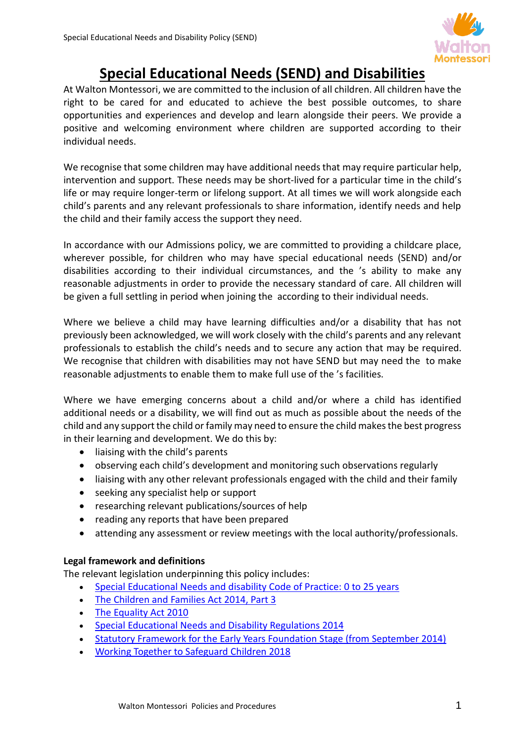

# **Special Educational Needs (SEND) and Disabilities**

At Walton Montessori, we are committed to the inclusion of all children. All children have the right to be cared for and educated to achieve the best possible outcomes, to share opportunities and experiences and develop and learn alongside their peers. We provide a positive and welcoming environment where children are supported according to their individual needs.

We recognise that some children may have additional needs that may require particular help, intervention and support. These needs may be short-lived for a particular time in the child's life or may require longer-term or lifelong support. At all times we will work alongside each child's parents and any relevant professionals to share information, identify needs and help the child and their family access the support they need.

In accordance with our Admissions policy, we are committed to providing a childcare place, wherever possible, for children who may have special educational needs (SEND) and/or disabilities according to their individual circumstances, and the 's ability to make any reasonable adjustments in order to provide the necessary standard of care. All children will be given a full settling in period when joining the according to their individual needs.

Where we believe a child may have learning difficulties and/or a disability that has not previously been acknowledged, we will work closely with the child's parents and any relevant professionals to establish the child's needs and to secure any action that may be required. We recognise that children with disabilities may not have SEND but may need the to make reasonable adjustments to enable them to make full use of the 's facilities.

Where we have emerging concerns about a child and/or where a child has identified additional needs or a disability, we will find out as much as possible about the needs of the child and any support the child or family may need to ensure the child makes the best progress in their learning and development. We do this by:

- liaising with the child's parents
- observing each child's development and monitoring such observations regularly
- liaising with any other relevant professionals engaged with the child and their family
- seeking any specialist help or support
- researching relevant publications/sources of help
- reading any reports that have been prepared
- attending any assessment or review meetings with the local authority/professionals.

# **Legal framework and definitions**

The relevant legislation underpinning this policy includes:

- [Special Educational Needs and disability Code of Practice: 0 to 25 years](https://www.gov.uk/government/uploads/system/uploads/attachment_data/file/319639/Code_of_Practice-Final-10June2014.pdf)
- [The Children and Families Act 2014, Part 3](http://www.legislation.gov.uk/ukpga/2014/6/contents/enacted)
- [The Equality Act 2010](http://www.legislation.gov.uk/ukpga/2010/15/contents)
- [Special Educational Needs and Disability Regulations 2014](http://www.legislation.gov.uk/uksi/2014/1530/contents/made)
- [Statutory Framework for the Early Years Foundation Stage \(from September 2014\)](https://www.gov.uk/government/uploads/system/uploads/attachment_data/file/299391/DFE-00337-2014.pdf)
- [Working Together to Safeguard Children 2018](https://www.gov.uk/government/uploads/system/uploads/attachment_data/file/281368/Working_together_to_safeguard_children.pdf)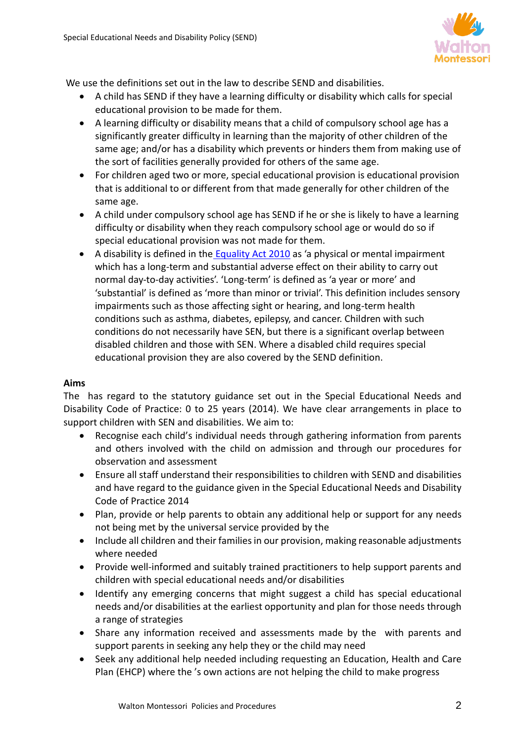

We use the definitions set out in the law to describe SEND and disabilities.

- A child has SEND if they have a learning difficulty or disability which calls for special educational provision to be made for them.
- A learning difficulty or disability means that a child of compulsory school age has a significantly greater difficulty in learning than the majority of other children of the same age; and/or has a disability which prevents or hinders them from making use of the sort of facilities generally provided for others of the same age.
- For children aged two or more, special educational provision is educational provision that is additional to or different from that made generally for other children of the same age.
- A child under compulsory school age has SEND if he or she is likely to have a learning difficulty or disability when they reach compulsory school age or would do so if special educational provision was not made for them.
- A disability is defined in the [Equality Act 2010](http://www.legislation.gov.uk/ukpga/2010/15/contents) as 'a physical or mental impairment which has a long-term and substantial adverse effect on their ability to carry out normal day-to-day activities'. 'Long-term' is defined as 'a year or more' and 'substantial' is defined as 'more than minor or trivial'. This definition includes sensory impairments such as those affecting sight or hearing, and long-term health conditions such as asthma, diabetes, epilepsy, and cancer. Children with such conditions do not necessarily have SEN, but there is a significant overlap between disabled children and those with SEN. Where a disabled child requires special educational provision they are also covered by the SEND definition.

# **Aims**

The has regard to the statutory guidance set out in the Special Educational Needs and Disability Code of Practice: 0 to 25 years (2014). We have clear arrangements in place to support children with SEN and disabilities. We aim to:

- Recognise each child's individual needs through gathering information from parents and others involved with the child on admission and through our procedures for observation and assessment
- Ensure all staff understand their responsibilities to children with SEND and disabilities and have regard to the guidance given in the Special Educational Needs and Disability Code of Practice 2014
- Plan, provide or help parents to obtain any additional help or support for any needs not being met by the universal service provided by the
- Include all children and their families in our provision, making reasonable adjustments where needed
- Provide well-informed and suitably trained practitioners to help support parents and children with special educational needs and/or disabilities
- Identify any emerging concerns that might suggest a child has special educational needs and/or disabilities at the earliest opportunity and plan for those needs through a range of strategies
- Share any information received and assessments made by the with parents and support parents in seeking any help they or the child may need
- Seek any additional help needed including requesting an Education, Health and Care Plan (EHCP) where the 's own actions are not helping the child to make progress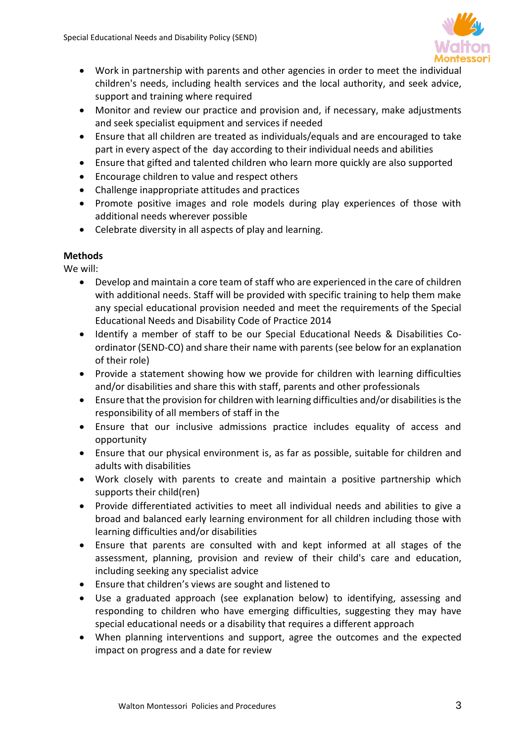

- Work in partnership with parents and other agencies in order to meet the individual children's needs, including health services and the local authority, and seek advice, support and training where required
- Monitor and review our practice and provision and, if necessary, make adjustments and seek specialist equipment and services if needed
- Ensure that all children are treated as individuals/equals and are encouraged to take part in every aspect of the day according to their individual needs and abilities
- Ensure that gifted and talented children who learn more quickly are also supported
- Encourage children to value and respect others
- Challenge inappropriate attitudes and practices
- Promote positive images and role models during play experiences of those with additional needs wherever possible
- Celebrate diversity in all aspects of play and learning.

# **Methods**

We will:

- Develop and maintain a core team of staff who are experienced in the care of children with additional needs. Staff will be provided with specific training to help them make any special educational provision needed and meet the requirements of the Special Educational Needs and Disability Code of Practice 2014
- Identify a member of staff to be our Special Educational Needs & Disabilities Coordinator (SEND-CO) and share their name with parents (see below for an explanation of their role)
- Provide a statement showing how we provide for children with learning difficulties and/or disabilities and share this with staff, parents and other professionals
- Ensure that the provision for children with learning difficulties and/or disabilities is the responsibility of all members of staff in the
- Ensure that our inclusive admissions practice includes equality of access and opportunity
- Ensure that our physical environment is, as far as possible, suitable for children and adults with disabilities
- Work closely with parents to create and maintain a positive partnership which supports their child(ren)
- Provide differentiated activities to meet all individual needs and abilities to give a broad and balanced early learning environment for all children including those with learning difficulties and/or disabilities
- Ensure that parents are consulted with and kept informed at all stages of the assessment, planning, provision and review of their child's care and education, including seeking any specialist advice
- Ensure that children's views are sought and listened to
- Use a graduated approach (see explanation below) to identifying, assessing and responding to children who have emerging difficulties, suggesting they may have special educational needs or a disability that requires a different approach
- When planning interventions and support, agree the outcomes and the expected impact on progress and a date for review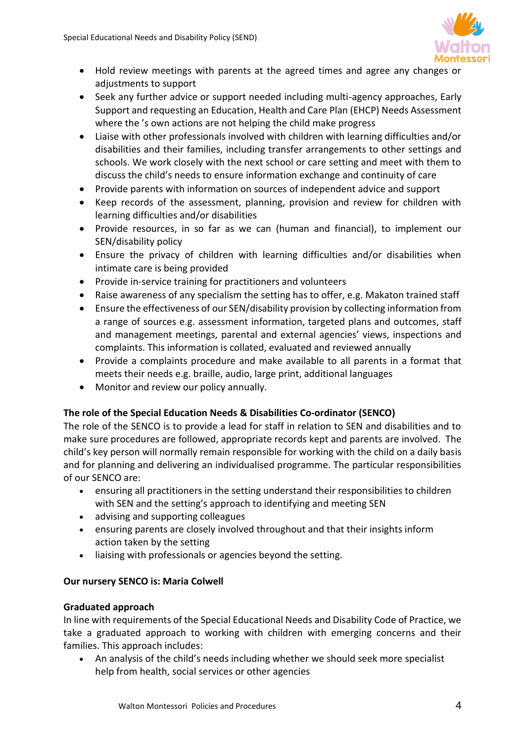

- Hold review meetings with parents at the agreed times and agree any changes or adjustments to support
- Seek any further advice or support needed including multi-agency approaches, Early Support and requesting an Education, Health and Care Plan (EHCP) Needs Assessment where the 's own actions are not helping the child make progress
- Liaise with other professionals involved with children with learning difficulties and/or disabilities and their families, including transfer arrangements to other settings and schools. We work closely with the next school or care setting and meet with them to discuss the child's needs to ensure information exchange and continuity of care
- Provide parents with information on sources of independent advice and support
- Keep records of the assessment, planning, provision and review for children with learning difficulties and/or disabilities
- Provide resources, in so far as we can (human and financial), to implement our SEN/disability policy
- Ensure the privacy of children with learning difficulties and/or disabilities when intimate care is being provided
- Provide in-service training for practitioners and volunteers
- Raise awareness of any specialism the setting has to offer, e.g. Makaton trained staff
- Ensure the effectiveness of our SEN/disability provision by collecting information from a range of sources e.g. assessment information, targeted plans and outcomes, staff and management meetings, parental and external agencies' views, inspections and complaints. This information is collated, evaluated and reviewed annually
- Provide a complaints procedure and make available to all parents in a format that meets their needs e.g. braille, audio, large print, additional languages
- Monitor and review our policy annually.

# **The role of the Special Education Needs & Disabilities Co-ordinator (SENCO)**

The role of the SENCO is to provide a lead for staff in relation to SEN and disabilities and to make sure procedures are followed, appropriate records kept and parents are involved. The child's key person will normally remain responsible for working with the child on a daily basis and for planning and delivering an individualised programme. The particular responsibilities of our SENCO are:

- ensuring all practitioners in the setting understand their responsibilities to children with SEN and the setting's approach to identifying and meeting SEN
- advising and supporting colleagues
- ensuring parents are closely involved throughout and that their insights inform action taken by the setting
- liaising with professionals or agencies beyond the setting.

# **Our nursery SENCO is: Maria Colwell**

### **Graduated approach**

In line with requirements of the Special Educational Needs and Disability Code of Practice, we take a graduated approach to working with children with emerging concerns and their families. This approach includes:

• An analysis of the child's needs including whether we should seek more specialist help from health, social services or other agencies